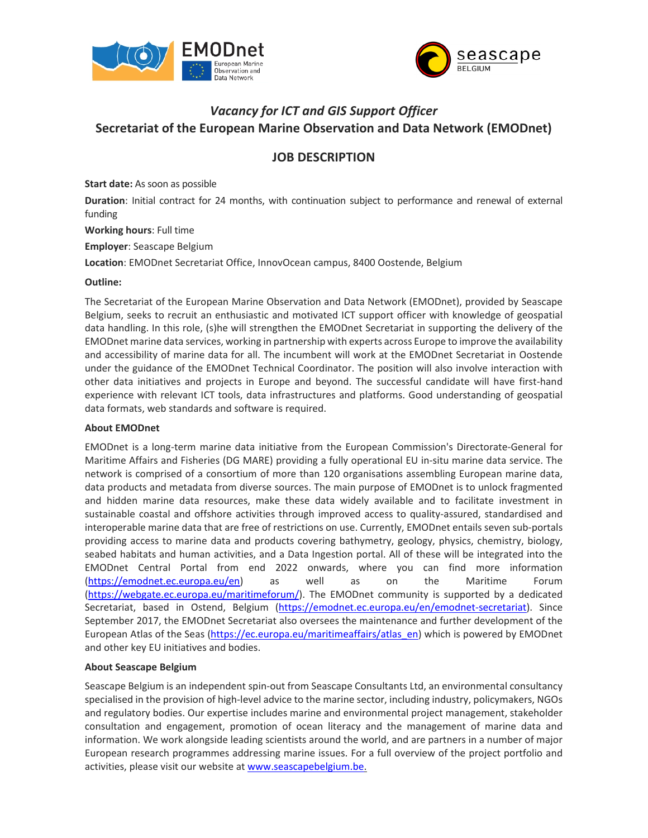



# *Vacancy for ICT and GIS Support Officer* **Secretariat of the European Marine Observation and Data Network (EMODnet)**

## **JOB DESCRIPTION**

**Start date:** As soon as possible

**Duration**: Initial contract for 24 months, with continuation subject to performance and renewal of external funding

**Working hours**: Full time

**Employer**: Seascape Belgium

**Location**: EMODnet Secretariat Office, InnovOcean campus, 8400 Oostende, Belgium

#### **Outline:**

The Secretariat of the European Marine Observation and Data Network (EMODnet), provided by Seascape Belgium, seeks to recruit an enthusiastic and motivated ICT support officer with knowledge of geospatial data handling. In this role, (s)he will strengthen the EMODnet Secretariat in supporting the delivery of the EMODnet marine data services, working in partnership with experts across Europe to improve the availability and accessibility of marine data for all. The incumbent will work at the EMODnet Secretariat in Oostende under the guidance of the EMODnet Technical Coordinator. The position will also involve interaction with other data initiatives and projects in Europe and beyond. The successful candidate will have first‐hand experience with relevant ICT tools, data infrastructures and platforms. Good understanding of geospatial data formats, web standards and software is required.

#### **About EMODnet**

EMODnet is a long‐term marine data initiative from the European Commission's Directorate‐General for Maritime Affairs and Fisheries (DG MARE) providing a fully operational EU in‐situ marine data service. The network is comprised of a consortium of more than 120 organisations assembling European marine data, data products and metadata from diverse sources. The main purpose of EMODnet is to unlock fragmented and hidden marine data resources, make these data widely available and to facilitate investment in sustainable coastal and offshore activities through improved access to quality‐assured, standardised and interoperable marine data that are free of restrictions on use. Currently, EMODnet entails seven sub‐portals providing access to marine data and products covering bathymetry, geology, physics, chemistry, biology, seabed habitats and human activities, and a Data Ingestion portal. All of these will be integrated into the EMODnet Central Portal from end 2022 onwards, where you can find more information (https://emodnet.ec.europa.eu/en) as well as on the Maritime Forum (https://webgate.ec.europa.eu/maritimeforum/). The EMODnet community is supported by a dedicated Secretariat, based in Ostend, Belgium (https://emodnet.ec.europa.eu/en/emodnet-secretariat). Since September 2017, the EMODnet Secretariat also oversees the maintenance and further development of the European Atlas of the Seas (https://ec.europa.eu/maritimeaffairs/atlas\_en) which is powered by EMODnet and other key EU initiatives and bodies.

#### **About Seascape Belgium**

Seascape Belgium is an independent spin‐out from Seascape Consultants Ltd, an environmental consultancy specialised in the provision of high-level advice to the marine sector, including industry, policymakers, NGOs and regulatory bodies. Our expertise includes marine and environmental project management, stakeholder consultation and engagement, promotion of ocean literacy and the management of marine data and information. We work alongside leading scientists around the world, and are partners in a number of major European research programmes addressing marine issues. For a full overview of the project portfolio and activities, please visit our website at www.seascapebelgium.be.